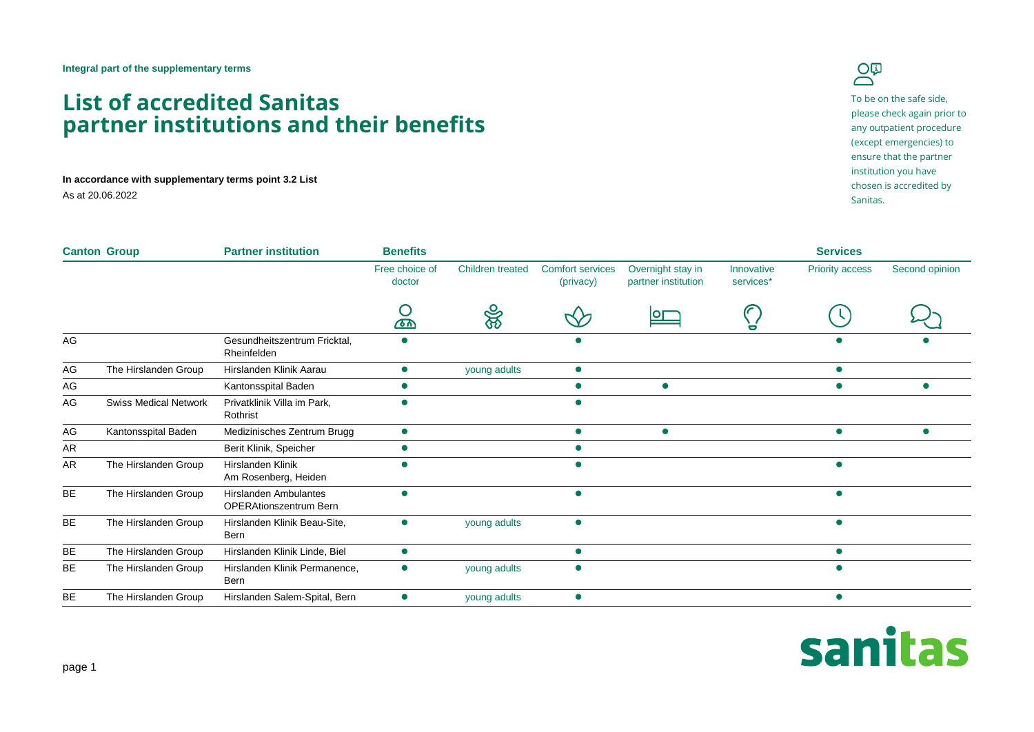## **List of accredited Sanitas partner institutions and their benefits**

**In accordance with supplementary terms point 3.2 List**

As at 20.06.2022



To be on the safe side, please check again prior to any outpatient procedure (except emergencies) to ensure that the partner institution you have chosen is accredited by Sanitas.

| <b>Canton Group</b> |                              | <b>Partner institution</b>                                    | <b>Benefits</b>          |                         |                                      |                                          |                         | <b>Services</b> |                |
|---------------------|------------------------------|---------------------------------------------------------------|--------------------------|-------------------------|--------------------------------------|------------------------------------------|-------------------------|-----------------|----------------|
|                     |                              |                                                               | Free choice of<br>doctor | <b>Children treated</b> | <b>Comfort services</b><br>(privacy) | Overnight stay in<br>partner institution | Innovative<br>services* | Priority access | Second opinion |
|                     |                              |                                                               | U<br><u>क्रा</u>         | ෯                       |                                      |                                          | 0                       |                 |                |
| AG                  |                              | Gesundheitszentrum Fricktal,<br>Rheinfelden                   |                          |                         |                                      |                                          |                         |                 |                |
| AG                  | The Hirslanden Group         | Hirslanden Klinik Aarau                                       | $\bullet$                | young adults            | $\bullet$                            |                                          |                         |                 |                |
| AG                  |                              | Kantonsspital Baden                                           |                          |                         |                                      |                                          |                         |                 |                |
| AG                  | <b>Swiss Medical Network</b> | Privatklinik Villa im Park,<br>Rothrist                       |                          |                         |                                      |                                          |                         |                 |                |
| AG                  | Kantonsspital Baden          | Medizinisches Zentrum Brugg                                   | $\bullet$                |                         | $\bullet$                            | $\bullet$                                |                         | $\bullet$       | $\bullet$      |
| AR                  |                              | Berit Klinik, Speicher                                        |                          |                         | C                                    |                                          |                         |                 |                |
| AR                  | The Hirslanden Group         | Hirslanden Klinik<br>Am Rosenberg, Heiden                     |                          |                         |                                      |                                          |                         |                 |                |
| BE                  | The Hirslanden Group         | <b>Hirslanden Ambulantes</b><br><b>OPERAtionszentrum Bern</b> |                          |                         | $\bullet$                            |                                          |                         |                 |                |
| <b>BE</b>           | The Hirslanden Group         | Hirslanden Klinik Beau-Site,<br>Bern                          | $\bullet$                | young adults            | $\bullet$                            |                                          |                         |                 |                |
| BE                  | The Hirslanden Group         | Hirslanden Klinik Linde, Biel                                 | $\bullet$                |                         | О                                    |                                          |                         |                 |                |
| BE                  | The Hirslanden Group         | Hirslanden Klinik Permanence,<br>Bern                         |                          | young adults            |                                      |                                          |                         |                 |                |
| <b>BE</b>           | The Hirslanden Group         | Hirslanden Salem-Spital, Bern                                 |                          | young adults            | $\bullet$                            |                                          |                         |                 |                |

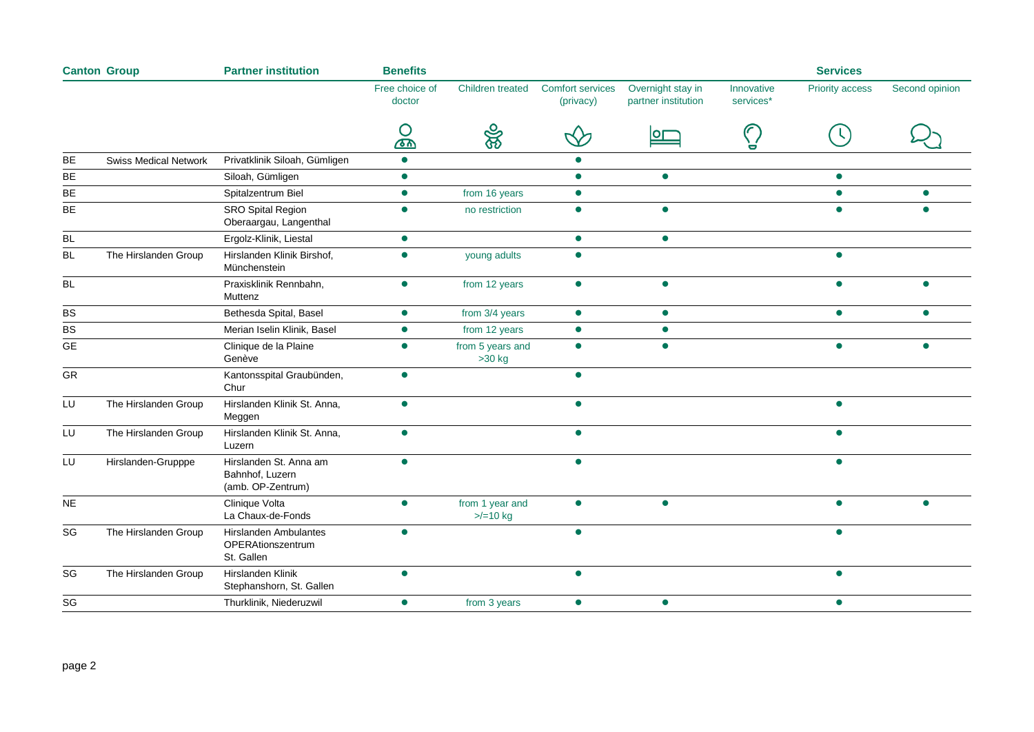| <b>Canton Group</b> | <b>Partner institution</b>   |                                                                | <b>Benefits</b>          |                              |                                      |                                          | <b>Services</b>         |                 |                |
|---------------------|------------------------------|----------------------------------------------------------------|--------------------------|------------------------------|--------------------------------------|------------------------------------------|-------------------------|-----------------|----------------|
|                     |                              |                                                                | Free choice of<br>doctor | Children treated             | <b>Comfort services</b><br>(privacy) | Overnight stay in<br>partner institution | Innovative<br>services* | Priority access | Second opinion |
|                     |                              |                                                                | Ő                        | ఞ్య                          |                                      | lor                                      |                         |                 |                |
| BE                  | <b>Swiss Medical Network</b> | Privatklinik Siloah, Gümligen                                  | $\bullet$                |                              |                                      |                                          |                         |                 |                |
| BE                  |                              | Siloah, Gümligen                                               | $\bullet$                |                              | $\bullet$                            | $\bullet$                                |                         | $\bullet$       |                |
| BE                  |                              | Spitalzentrum Biel                                             | $\bullet$                | from 16 years                | $\bullet$                            |                                          |                         | $\bullet$       |                |
| BE                  |                              | <b>SRO Spital Region</b><br>Oberaargau, Langenthal             | $\bullet$                | no restriction               | $\bullet$                            | $\bullet$                                |                         |                 |                |
| $\mathsf{BL}$       |                              | Ergolz-Klinik, Liestal                                         | $\bullet$                |                              | $\bullet$                            | $\bullet$                                |                         |                 |                |
| <b>BL</b>           | The Hirslanden Group         | Hirslanden Klinik Birshof,<br>Münchenstein                     | $\bullet$                | young adults                 | $\bullet$                            |                                          |                         | ▲               |                |
| <b>BL</b>           |                              | Praxisklinik Rennbahn,<br>Muttenz                              | $\bullet$                | from 12 years                | $\bullet$                            | $\bullet$                                |                         |                 |                |
| BS                  |                              | Bethesda Spital, Basel                                         | $\bullet$                | from 3/4 years               | $\bullet$                            | $\bullet$                                |                         | $\bullet$       | $\bullet$      |
| BS                  |                              | Merian Iselin Klinik, Basel                                    | $\bullet$                | from 12 years                | $\bullet$                            | $\bullet$                                |                         |                 |                |
| <b>GE</b>           |                              | Clinique de la Plaine<br>Genève                                | $\bullet$                | from 5 years and<br>$>30$ kg | $\bullet$                            | $\bullet$                                |                         | $\blacksquare$  |                |
| GR                  |                              | Kantonsspital Graubünden,<br>Chur                              | $\bullet$                |                              | $\bullet$                            |                                          |                         |                 |                |
| LU                  | The Hirslanden Group         | Hirslanden Klinik St. Anna,<br>Meggen                          | $\bullet$                |                              | $\bullet$                            |                                          |                         |                 |                |
| LU                  | The Hirslanden Group         | Hirslanden Klinik St. Anna,<br>Luzern                          | $\bullet$                |                              | $\bullet$                            |                                          |                         |                 |                |
| LU                  | Hirslanden-Grupppe           | Hirslanden St. Anna am<br>Bahnhof, Luzern<br>(amb. OP-Zentrum) | $\bullet$                |                              | $\bullet$                            |                                          |                         | $\bullet$       |                |
| $\sf NE$            |                              | Clinique Volta<br>La Chaux-de-Fonds                            |                          | from 1 year and<br>$>10$ kg  | $\bullet$                            | $\bullet$                                |                         |                 |                |
| SG                  | The Hirslanden Group         | Hirslanden Ambulantes<br>OPERAtionszentrum<br>St. Gallen       |                          |                              |                                      |                                          |                         |                 |                |
| SG                  | The Hirslanden Group         | Hirslanden Klinik<br>Stephanshorn, St. Gallen                  | $\bullet$                |                              | $\bullet$                            |                                          |                         |                 |                |
| SG                  |                              | Thurklinik, Niederuzwil                                        | $\bullet$                | from 3 years                 | $\bullet$                            | $\bullet$                                |                         | $\bullet$       |                |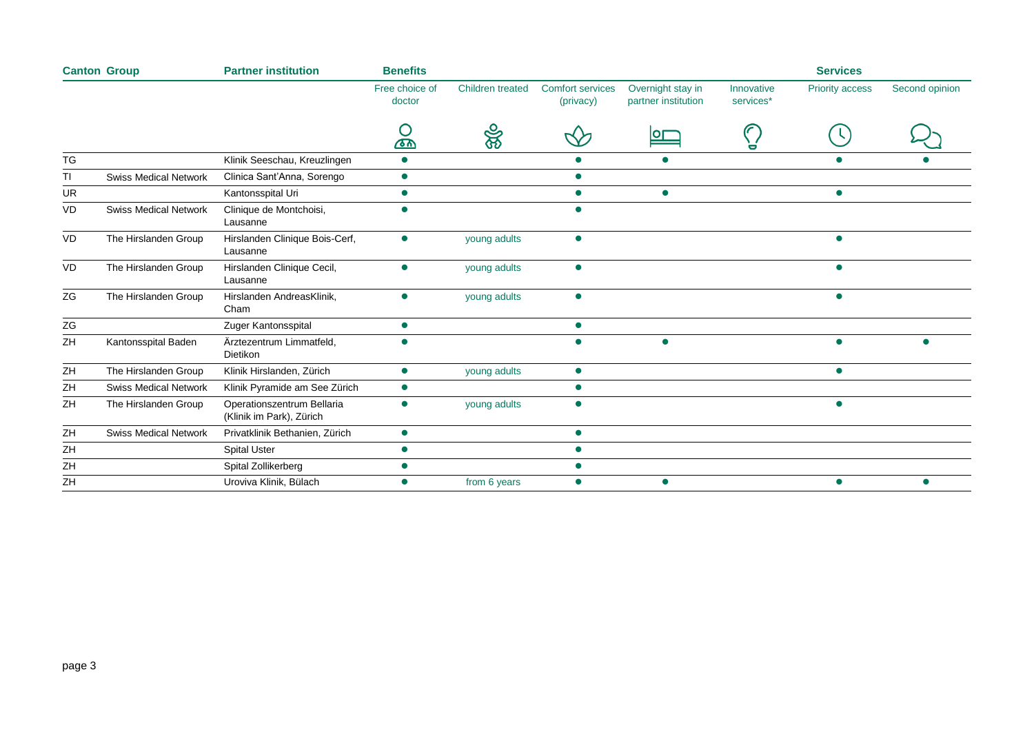| <b>Canton Group</b> |                              | <b>Partner institution</b>                             | <b>Benefits</b>          |                         |                                      |                                          |                         | <b>Services</b>        |                |
|---------------------|------------------------------|--------------------------------------------------------|--------------------------|-------------------------|--------------------------------------|------------------------------------------|-------------------------|------------------------|----------------|
|                     |                              |                                                        | Free choice of<br>doctor | <b>Children treated</b> | <b>Comfort services</b><br>(privacy) | Overnight stay in<br>partner institution | Innovative<br>services* | <b>Priority access</b> | Second opinion |
|                     |                              |                                                        |                          | ₩                       |                                      |                                          |                         |                        |                |
| TG                  |                              | Klinik Seeschau, Kreuzlingen                           | $\bullet$                |                         |                                      |                                          |                         |                        |                |
| TI                  | <b>Swiss Medical Network</b> | Clinica Sant'Anna, Sorengo                             | $\bullet$                |                         | $\bullet$                            |                                          |                         |                        |                |
| UR                  |                              | Kantonsspital Uri                                      |                          |                         |                                      | $\bullet$                                |                         | $\bullet$              |                |
| VD                  | <b>Swiss Medical Network</b> | Clinique de Montchoisi,<br>Lausanne                    |                          |                         |                                      |                                          |                         |                        |                |
| VD                  | The Hirslanden Group         | Hirslanden Clinique Bois-Cerf,<br>Lausanne             |                          | young adults            | $\bullet$                            |                                          |                         |                        |                |
| VD                  | The Hirslanden Group         | Hirslanden Clinique Cecil,<br>Lausanne                 |                          | young adults            | $\bullet$                            |                                          |                         | $\bullet$              |                |
| ZG                  | The Hirslanden Group         | Hirslanden AndreasKlinik,<br>Cham                      |                          | young adults            | $\bullet$                            |                                          |                         | $\bullet$              |                |
| ZG                  |                              | Zuger Kantonsspital                                    |                          |                         | $\bullet$                            |                                          |                         |                        |                |
| ZH                  | Kantonsspital Baden          | Ärztezentrum Limmatfeld,<br><b>Dietikon</b>            |                          |                         |                                      | $\bullet$                                |                         |                        |                |
| ZH                  | The Hirslanden Group         | Klinik Hirslanden, Zürich                              | $\bullet$                | young adults            | $\bullet$                            |                                          |                         | $\bullet$              |                |
| ZΗ                  | <b>Swiss Medical Network</b> | Klinik Pyramide am See Zürich                          |                          |                         | $\bullet$                            |                                          |                         |                        |                |
| ZH                  | The Hirslanden Group         | Operationszentrum Bellaria<br>(Klinik im Park), Zürich |                          | young adults            | $\bullet$                            |                                          |                         | $\bullet$              |                |
| ZH                  | <b>Swiss Medical Network</b> | Privatklinik Bethanien, Zürich                         | $\bullet$                |                         | $\bullet$                            |                                          |                         |                        |                |
| ZH                  |                              | <b>Spital Uster</b>                                    |                          |                         | $\bullet$                            |                                          |                         |                        |                |
| ZH                  |                              | Spital Zollikerberg                                    |                          |                         |                                      |                                          |                         |                        |                |
| ZH                  |                              | Uroviva Klinik, Bülach                                 | $\bullet$                | from 6 years            | $\bullet$                            | $\bullet$                                |                         | $\bullet$              |                |